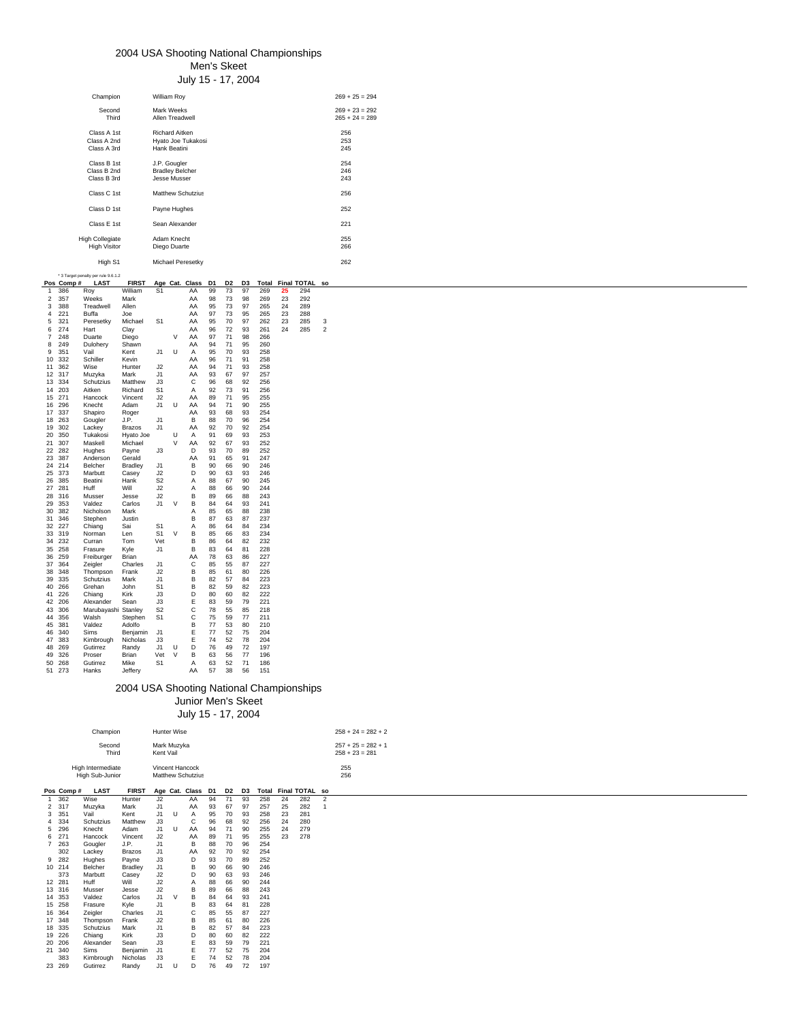### 2004 USA Shooting National Championships Men's Skeet

July 15 - 17, 2004

|                                                                                                                                                                                                                                                                                                                                                                                                                                                                                                                                                                                                                                                                                                                                                                                                                                                                           | Champion                                                                                                                                                                                                                                                                                                                                                                                                                                                                                                                         | William Roy                                                                                                                                                                                                                                                                                                                                                                                                                                                                                        |                                                                                                                                                                                                                                                                                                                                                                       |                                                                                                                                                                                                                                                                      |                                                                                                                                                                                                                                                                      |                                                                                                                                                                                                                                                                                                                  |                            |                                 |                     | $269 + 25 = 294$                         |
|---------------------------------------------------------------------------------------------------------------------------------------------------------------------------------------------------------------------------------------------------------------------------------------------------------------------------------------------------------------------------------------------------------------------------------------------------------------------------------------------------------------------------------------------------------------------------------------------------------------------------------------------------------------------------------------------------------------------------------------------------------------------------------------------------------------------------------------------------------------------------|----------------------------------------------------------------------------------------------------------------------------------------------------------------------------------------------------------------------------------------------------------------------------------------------------------------------------------------------------------------------------------------------------------------------------------------------------------------------------------------------------------------------------------|----------------------------------------------------------------------------------------------------------------------------------------------------------------------------------------------------------------------------------------------------------------------------------------------------------------------------------------------------------------------------------------------------------------------------------------------------------------------------------------------------|-----------------------------------------------------------------------------------------------------------------------------------------------------------------------------------------------------------------------------------------------------------------------------------------------------------------------------------------------------------------------|----------------------------------------------------------------------------------------------------------------------------------------------------------------------------------------------------------------------------------------------------------------------|----------------------------------------------------------------------------------------------------------------------------------------------------------------------------------------------------------------------------------------------------------------------|------------------------------------------------------------------------------------------------------------------------------------------------------------------------------------------------------------------------------------------------------------------------------------------------------------------|----------------------------|---------------------------------|---------------------|------------------------------------------|
|                                                                                                                                                                                                                                                                                                                                                                                                                                                                                                                                                                                                                                                                                                                                                                                                                                                                           | Second<br>Third                                                                                                                                                                                                                                                                                                                                                                                                                                                                                                                  | Mark Weeks<br>Allen Treadwell                                                                                                                                                                                                                                                                                                                                                                                                                                                                      |                                                                                                                                                                                                                                                                                                                                                                       |                                                                                                                                                                                                                                                                      |                                                                                                                                                                                                                                                                      |                                                                                                                                                                                                                                                                                                                  |                            |                                 |                     | $269 + 23 = 292$<br>$265 + 24 = 289$     |
|                                                                                                                                                                                                                                                                                                                                                                                                                                                                                                                                                                                                                                                                                                                                                                                                                                                                           | Class A 1st<br>Class A 2nd<br>Class A 3rd                                                                                                                                                                                                                                                                                                                                                                                                                                                                                        | Richard Aitken<br>Hyato Joe Tukakosi<br>Hank Beatini                                                                                                                                                                                                                                                                                                                                                                                                                                               |                                                                                                                                                                                                                                                                                                                                                                       |                                                                                                                                                                                                                                                                      |                                                                                                                                                                                                                                                                      |                                                                                                                                                                                                                                                                                                                  |                            |                                 |                     | 256<br>253<br>245                        |
|                                                                                                                                                                                                                                                                                                                                                                                                                                                                                                                                                                                                                                                                                                                                                                                                                                                                           | Class B 1st<br>Class B 2nd<br>Class B 3rd                                                                                                                                                                                                                                                                                                                                                                                                                                                                                        | J.P. Gougler<br><b>Bradley Belcher</b><br>Jesse Musser                                                                                                                                                                                                                                                                                                                                                                                                                                             |                                                                                                                                                                                                                                                                                                                                                                       |                                                                                                                                                                                                                                                                      |                                                                                                                                                                                                                                                                      |                                                                                                                                                                                                                                                                                                                  |                            |                                 |                     | 254<br>246<br>243                        |
|                                                                                                                                                                                                                                                                                                                                                                                                                                                                                                                                                                                                                                                                                                                                                                                                                                                                           | Class C 1st                                                                                                                                                                                                                                                                                                                                                                                                                                                                                                                      | Matthew Schutzius                                                                                                                                                                                                                                                                                                                                                                                                                                                                                  |                                                                                                                                                                                                                                                                                                                                                                       |                                                                                                                                                                                                                                                                      |                                                                                                                                                                                                                                                                      |                                                                                                                                                                                                                                                                                                                  |                            |                                 |                     | 256                                      |
|                                                                                                                                                                                                                                                                                                                                                                                                                                                                                                                                                                                                                                                                                                                                                                                                                                                                           | Class D 1st                                                                                                                                                                                                                                                                                                                                                                                                                                                                                                                      | Payne Hughes                                                                                                                                                                                                                                                                                                                                                                                                                                                                                       |                                                                                                                                                                                                                                                                                                                                                                       |                                                                                                                                                                                                                                                                      |                                                                                                                                                                                                                                                                      |                                                                                                                                                                                                                                                                                                                  |                            |                                 |                     | 252                                      |
|                                                                                                                                                                                                                                                                                                                                                                                                                                                                                                                                                                                                                                                                                                                                                                                                                                                                           | Class E 1st                                                                                                                                                                                                                                                                                                                                                                                                                                                                                                                      | Sean Alexander                                                                                                                                                                                                                                                                                                                                                                                                                                                                                     |                                                                                                                                                                                                                                                                                                                                                                       |                                                                                                                                                                                                                                                                      |                                                                                                                                                                                                                                                                      |                                                                                                                                                                                                                                                                                                                  |                            |                                 |                     | 221                                      |
|                                                                                                                                                                                                                                                                                                                                                                                                                                                                                                                                                                                                                                                                                                                                                                                                                                                                           | <b>High Collegiate</b><br><b>High Visitor</b>                                                                                                                                                                                                                                                                                                                                                                                                                                                                                    | Adam Knecht<br>Diego Duarte                                                                                                                                                                                                                                                                                                                                                                                                                                                                        |                                                                                                                                                                                                                                                                                                                                                                       |                                                                                                                                                                                                                                                                      |                                                                                                                                                                                                                                                                      |                                                                                                                                                                                                                                                                                                                  |                            |                                 |                     | 255<br>266                               |
|                                                                                                                                                                                                                                                                                                                                                                                                                                                                                                                                                                                                                                                                                                                                                                                                                                                                           | High S1                                                                                                                                                                                                                                                                                                                                                                                                                                                                                                                          | Michael Peresetky                                                                                                                                                                                                                                                                                                                                                                                                                                                                                  |                                                                                                                                                                                                                                                                                                                                                                       |                                                                                                                                                                                                                                                                      |                                                                                                                                                                                                                                                                      |                                                                                                                                                                                                                                                                                                                  |                            |                                 |                     | 262                                      |
| * 3 Target penalty per rule 9.6.1.2                                                                                                                                                                                                                                                                                                                                                                                                                                                                                                                                                                                                                                                                                                                                                                                                                                       |                                                                                                                                                                                                                                                                                                                                                                                                                                                                                                                                  |                                                                                                                                                                                                                                                                                                                                                                                                                                                                                                    |                                                                                                                                                                                                                                                                                                                                                                       |                                                                                                                                                                                                                                                                      |                                                                                                                                                                                                                                                                      |                                                                                                                                                                                                                                                                                                                  |                            |                                 |                     |                                          |
| Pos Comp#<br>386<br>Roy<br>$\mathbf{1}$<br>$\overline{2}$<br>357<br>Weeks                                                                                                                                                                                                                                                                                                                                                                                                                                                                                                                                                                                                                                                                                                                                                                                                 | <b>LAST</b><br><b>FIRST</b><br>William<br>Mark                                                                                                                                                                                                                                                                                                                                                                                                                                                                                   | Age Cat. Class<br>S <sub>1</sub>                                                                                                                                                                                                                                                                                                                                                                                                                                                                   | D1<br>AA<br>99<br>AA<br>98                                                                                                                                                                                                                                                                                                                                            | D <sub>2</sub><br>73<br>73                                                                                                                                                                                                                                           | D3<br>97<br>98                                                                                                                                                                                                                                                       | Total<br>269<br>269                                                                                                                                                                                                                                                                                              | 25<br>23                   | Final TOTAL so<br>294<br>292    |                     |                                          |
| 3<br>388<br>4<br>221<br>Buffa<br>5<br>321<br>6<br>274<br>Hart<br>$\overline{7}$<br>248<br>Duarte<br>8<br>249<br>Dulohery<br>351<br>9<br>Vail<br>10 332<br>Schiller<br>11 362<br>Wise<br>12 317<br>Muzyka<br>13 334<br>14 203<br>Aitken<br>15 271<br>Hancock<br>16 296<br>Knecht<br>17 337<br>Shapiro<br>18 263<br>Gougler<br>19 302<br>Lackey<br>20 350<br>Tukakosi<br>21 307<br>Maskell<br>22 282<br>Hughes<br>23 387<br>Anderson<br>24 214<br>Belcher<br>25 373<br>Marbutt<br>26<br>385<br>Beatini<br>27<br>281<br>Huff<br>28 316<br>Musser<br>29<br>353<br>Valdez<br>30 382<br>Nicholson<br>31 346<br>Stephen<br>32 227<br>Chiang<br>33 319<br>Norman<br>34 232<br>Curran<br>35 258<br>Frasure<br>36 259<br>37 364<br>Zeigler<br>38 348<br>39 335<br>40 266<br>Grehan<br>41 226<br>Chiang<br>42 206<br>43 306<br>44 356<br>Walsh<br>45 381<br>Valdez<br>46 340<br>Sims | Treadwell<br>Allen<br>Joe<br>Peresetky<br>Michael<br>Clay<br>Diego<br>Shawn<br>Kent<br>Kevin<br>Hunter<br>Mark<br>Schutzius<br>Matthew<br>Richard<br>Vincent<br>Adam<br>Roger<br>J.P.<br>Brazos<br>Hyato Joe<br>Michael<br>Payne<br>Gerald<br><b>Bradley</b><br>Casey<br>Hank<br>Will<br>Jesse<br>Carlos<br>Mark<br>Justin<br>Sai<br>Len<br>Tom<br>Kyle<br>Freiburger<br>Brian<br>Charles<br>Thompson<br>Frank<br>Schutzius<br>Mark<br>John<br>Kirk<br>Alexander<br>Sean<br>Marubayashi Stanley<br>Stephen<br>Adolfo<br>Benjamin | AA<br>AA<br>S <sub>1</sub><br>AA<br>AA<br>$\vee$<br>AA<br>U<br>J1<br>Α<br>AA<br>J2<br>AA<br>J1<br>AA<br>J3<br>C<br>S <sub>1</sub><br>J2<br>AA<br>U<br>J1<br>AA<br>В<br>J1<br>J1<br>AA<br>U<br>Α<br>$\vee$<br>AA<br>J3<br>D<br>AA<br>J1<br>J2<br>S <sub>2</sub><br>J2<br>J2<br>$\vee$<br>J1<br>В<br>S <sub>1</sub><br>V<br>В<br>S <sub>1</sub><br>Vet<br>в<br>J1<br>AA<br>C<br>J1<br>J2<br>J1<br>S <sub>1</sub><br>J3<br>J3<br>$\mathbf C$<br>S <sub>2</sub><br>$\mathbf C$<br>S <sub>1</sub><br>J1 | 95<br>97<br>95<br>96<br>97<br>AA<br>94<br>95<br>96<br>94<br>93<br>96<br>Α<br>92<br>89<br>94<br>AA<br>93<br>88<br>92<br>91<br>92<br>93<br>91<br>В<br>90<br>D<br>90<br>Α<br>88<br>Α<br>88<br>в<br>89<br>84<br>85<br>Α<br>в<br>87<br>86<br>Α<br>85<br>в<br>86<br>83<br>78<br>85<br>в<br>85<br>в<br>82<br>в<br>82<br>D<br>80<br>Е<br>83<br>78<br>75<br>В<br>77<br>Е<br>77 | 73<br>73<br>70<br>72<br>71<br>71<br>70<br>71<br>71<br>67<br>68<br>73<br>71<br>71<br>68<br>70<br>70<br>69<br>67<br>70<br>65<br>66<br>63<br>67<br>66<br>66<br>64<br>65<br>63<br>64<br>66<br>64<br>64<br>63<br>55<br>61<br>57<br>59<br>60<br>59<br>55<br>59<br>53<br>52 | 97<br>95<br>97<br>93<br>98<br>95<br>93<br>91<br>93<br>97<br>92<br>91<br>95<br>90<br>93<br>96<br>92<br>93<br>93<br>89<br>91<br>90<br>93<br>90<br>90<br>88<br>93<br>88<br>87<br>84<br>83<br>82<br>81<br>86<br>87<br>80<br>84<br>82<br>82<br>79<br>85<br>77<br>80<br>75 | 265<br>265<br>262<br>261<br>266<br>260<br>258<br>258<br>258<br>257<br>256<br>256<br>255<br>255<br>254<br>254<br>254<br>253<br>252<br>252<br>247<br>246<br>246<br>245<br>244<br>243<br>241<br>238<br>237<br>234<br>234<br>232<br>228<br>227<br>227<br>226<br>223<br>223<br>222<br>221<br>218<br>211<br>210<br>204 | 24<br>23<br>23<br>24       | 289<br>288<br>285<br>285        | 3<br>$\overline{2}$ |                                          |
| 47 383<br>48 269<br>Gutirrez                                                                                                                                                                                                                                                                                                                                                                                                                                                                                                                                                                                                                                                                                                                                                                                                                                              | Kimbrough<br>Nicholas<br>Randy                                                                                                                                                                                                                                                                                                                                                                                                                                                                                                   | J3<br>U<br>D<br>J1                                                                                                                                                                                                                                                                                                                                                                                                                                                                                 | Е<br>74<br>76                                                                                                                                                                                                                                                                                                                                                         | 52<br>49                                                                                                                                                                                                                                                             | 78<br>72                                                                                                                                                                                                                                                             | 204<br>197                                                                                                                                                                                                                                                                                                       |                            |                                 |                     |                                          |
| 49 326<br>Proser<br>50 268<br>Gutirrez<br>51 273<br>Hanks                                                                                                                                                                                                                                                                                                                                                                                                                                                                                                                                                                                                                                                                                                                                                                                                                 | Brian<br>Mike<br>Jeffery                                                                                                                                                                                                                                                                                                                                                                                                                                                                                                         | V<br>Vet<br>S <sub>1</sub>                                                                                                                                                                                                                                                                                                                                                                                                                                                                         | В<br>63<br>63<br>Α<br>AA<br>57                                                                                                                                                                                                                                                                                                                                        | 56<br>52<br>38                                                                                                                                                                                                                                                       | 77<br>71<br>56                                                                                                                                                                                                                                                       | 196<br>186<br>151                                                                                                                                                                                                                                                                                                |                            |                                 |                     |                                          |
|                                                                                                                                                                                                                                                                                                                                                                                                                                                                                                                                                                                                                                                                                                                                                                                                                                                                           |                                                                                                                                                                                                                                                                                                                                                                                                                                                                                                                                  | 2004 USA Shooting National Championships                                                                                                                                                                                                                                                                                                                                                                                                                                                           | Junior Men's Skeet                                                                                                                                                                                                                                                                                                                                                    |                                                                                                                                                                                                                                                                      |                                                                                                                                                                                                                                                                      |                                                                                                                                                                                                                                                                                                                  |                            |                                 |                     |                                          |
|                                                                                                                                                                                                                                                                                                                                                                                                                                                                                                                                                                                                                                                                                                                                                                                                                                                                           |                                                                                                                                                                                                                                                                                                                                                                                                                                                                                                                                  |                                                                                                                                                                                                                                                                                                                                                                                                                                                                                                    | July 15 - 17, 2004                                                                                                                                                                                                                                                                                                                                                    |                                                                                                                                                                                                                                                                      |                                                                                                                                                                                                                                                                      |                                                                                                                                                                                                                                                                                                                  |                            |                                 |                     |                                          |
|                                                                                                                                                                                                                                                                                                                                                                                                                                                                                                                                                                                                                                                                                                                                                                                                                                                                           | Champion                                                                                                                                                                                                                                                                                                                                                                                                                                                                                                                         | Hunter Wise                                                                                                                                                                                                                                                                                                                                                                                                                                                                                        |                                                                                                                                                                                                                                                                                                                                                                       |                                                                                                                                                                                                                                                                      |                                                                                                                                                                                                                                                                      |                                                                                                                                                                                                                                                                                                                  |                            |                                 |                     | $258 + 24 = 282 + 2$                     |
|                                                                                                                                                                                                                                                                                                                                                                                                                                                                                                                                                                                                                                                                                                                                                                                                                                                                           | Second<br>Third                                                                                                                                                                                                                                                                                                                                                                                                                                                                                                                  | Mark Muzyka<br>Kent Vail                                                                                                                                                                                                                                                                                                                                                                                                                                                                           |                                                                                                                                                                                                                                                                                                                                                                       |                                                                                                                                                                                                                                                                      |                                                                                                                                                                                                                                                                      |                                                                                                                                                                                                                                                                                                                  |                            |                                 |                     | $257 + 25 = 282 + 1$<br>$258 + 23 = 281$ |
| High Intermediate                                                                                                                                                                                                                                                                                                                                                                                                                                                                                                                                                                                                                                                                                                                                                                                                                                                         | High Sub-Junior                                                                                                                                                                                                                                                                                                                                                                                                                                                                                                                  | Vincent Hancock<br>Matthew Schutzius                                                                                                                                                                                                                                                                                                                                                                                                                                                               |                                                                                                                                                                                                                                                                                                                                                                       |                                                                                                                                                                                                                                                                      |                                                                                                                                                                                                                                                                      |                                                                                                                                                                                                                                                                                                                  |                            |                                 |                     | 255<br>256                               |
| Pos Comp#<br>362<br>Wise<br>1                                                                                                                                                                                                                                                                                                                                                                                                                                                                                                                                                                                                                                                                                                                                                                                                                                             | <b>LAST</b><br><b>FIRST</b><br>Hunter                                                                                                                                                                                                                                                                                                                                                                                                                                                                                            | Age Cat. Class D1<br>J2                                                                                                                                                                                                                                                                                                                                                                                                                                                                            | 94<br>AA                                                                                                                                                                                                                                                                                                                                                              | D <sub>2</sub><br>71                                                                                                                                                                                                                                                 | D3<br>93                                                                                                                                                                                                                                                             | 258                                                                                                                                                                                                                                                                                                              | 24                         | Total Final TOTAL so<br>282     | $\overline{2}$      |                                          |
| 2 317<br>Muzyka<br>3<br>351<br>Vail<br>4<br>334<br>5<br>296<br>Knecht<br>271<br>6<br>Hancock<br>7<br>263<br>Gougler<br>302<br>Lackey<br>9<br>282<br>Hughes<br>10 214<br>Belcher<br>373<br>Marbutt<br>12 281<br>Huff<br>13 316<br>Musser<br>14 353<br>Valdez<br>15 258<br>Frasure<br>16 364<br>Zeigler<br>17 348<br>18 335<br>19 226<br>Chiang<br>20 20 6<br>21 340<br>Sims                                                                                                                                                                                                                                                                                                                                                                                                                                                                                                | Mark<br>Kent<br>Schutzius<br>Matthew<br>Adam<br>Vincent<br>J.P.<br>Brazos<br>Payne<br><b>Bradley</b><br>Casey<br>Will<br>Jesse<br>Carlos<br>Kyle<br>Charles<br>Thompson<br>Frank<br>Schutzius<br>Mark<br>Kirk<br>Alexander<br>Sean<br>Benjamin                                                                                                                                                                                                                                                                                   | J1<br>AA<br>J1<br>U<br>$\overline{A}$<br>J3<br>U<br>J1<br>AA<br>J2<br>AA<br>J1<br>в<br>J1<br>AA<br>J3<br>D<br>J1<br>J2<br>J2<br>J2<br>J1<br>V<br>J1<br>J1<br>J2<br>J1<br>J3<br>J3<br>J1                                                                                                                                                                                                                                                                                                            | 93<br>95<br>С<br>96<br>94<br>89<br>88<br>92<br>93<br>в<br>90<br>D<br>90<br>88<br>Α<br>в<br>89<br>В<br>84<br>83<br>В<br>С<br>85<br>в<br>85<br>в<br>82<br>D<br>80<br>Ε<br>83<br>Ε<br>77                                                                                                                                                                                 | 67<br>70<br>68<br>71<br>71<br>70<br>70<br>70<br>66<br>63<br>66<br>66<br>64<br>64<br>55<br>61<br>57<br>60<br>59<br>52                                                                                                                                                 | 97<br>93<br>92<br>90<br>95<br>96<br>92<br>89<br>90<br>93<br>90<br>88<br>93<br>81<br>87<br>80<br>84<br>82<br>79<br>75                                                                                                                                                 | 257<br>258<br>256<br>255<br>255<br>254<br>254<br>252<br>246<br>246<br>244<br>243<br>241<br>228<br>227<br>226<br>223<br>222<br>221<br>204                                                                                                                                                                         | 25<br>23<br>24<br>24<br>23 | 282<br>281<br>280<br>279<br>278 | $\overline{1}$      |                                          |
| 383<br>23 269<br>Gutirrez                                                                                                                                                                                                                                                                                                                                                                                                                                                                                                                                                                                                                                                                                                                                                                                                                                                 | Kimbrough<br>Nicholas<br>Randy                                                                                                                                                                                                                                                                                                                                                                                                                                                                                                   | J3<br>U<br>J1                                                                                                                                                                                                                                                                                                                                                                                                                                                                                      | Е<br>74<br>D<br>76                                                                                                                                                                                                                                                                                                                                                    | 52<br>49                                                                                                                                                                                                                                                             | 78<br>72                                                                                                                                                                                                                                                             | 204<br>197                                                                                                                                                                                                                                                                                                       |                            |                                 |                     |                                          |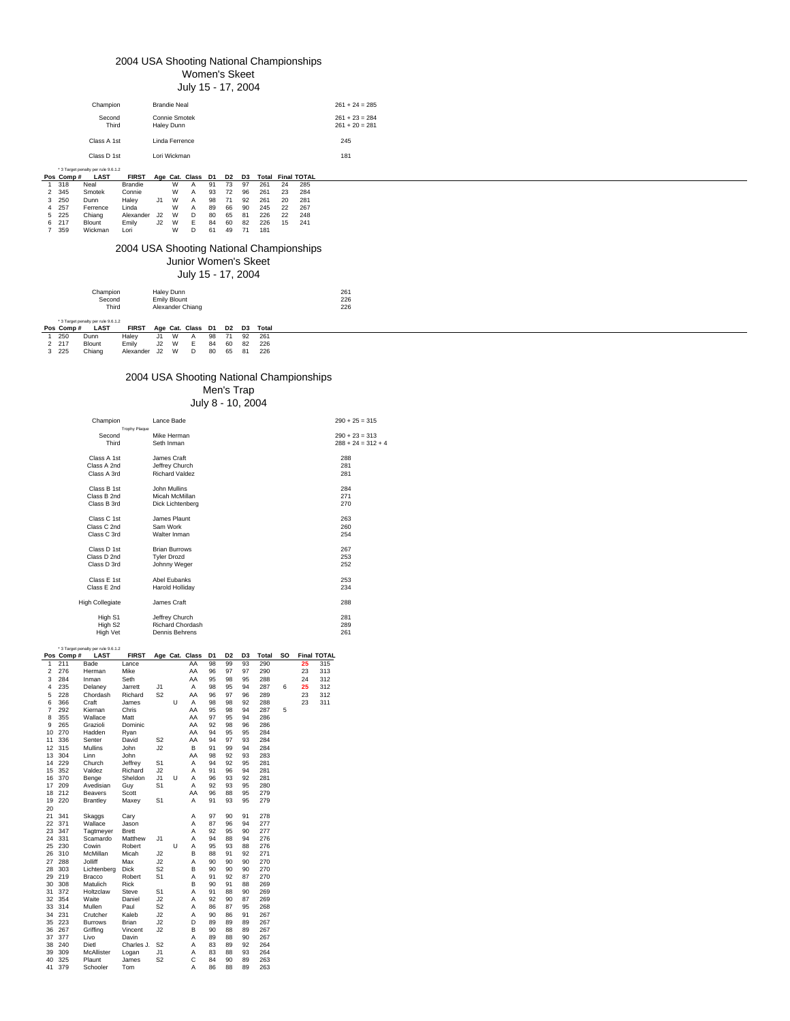# 2004 USA Shooting National Championships

Women's Skeet July 15 - 17, 2004

| $261 + 24 = 285$<br><b>Brandie Neal</b><br>Champion<br>Connie Smotek<br>$261 + 23 = 284$<br>Second<br>Third<br>Haley Dunn<br>$261 + 20 = 281$<br>Class A 1st<br>Linda Ferrence<br>245<br>Lori Wickman<br>Class D 1st<br>181<br>* 3 Target penalty per rule 9.6.1.2<br><b>Total Final TOTAL</b><br><b>LAST</b><br><b>FIRST</b><br>Age Cat. Class D1<br>D <sub>2</sub><br>D <sub>3</sub><br>Pos Comp#<br>W<br>73<br>97<br>261<br>318<br>91<br>24<br>285<br>Neal<br><b>Brandie</b><br>Α<br>W<br>72<br>345<br>93<br>96<br>261<br>23<br>284<br>Smotek<br>Connie<br>$\overline{2}$<br>А<br>J1<br>W<br>Haley<br>98<br>71<br>250<br>92<br>261<br>20<br>281<br>Dunn<br>A<br>3<br>W<br>66<br>4 257<br>Linda<br>89<br>90<br>245<br>22<br>267<br>Ferrence<br>A<br>5 225<br>Alexander J2<br>W<br>80<br>65<br>226<br>22<br>D<br>81<br>248<br>Chiang<br>E<br>J2<br>W<br>84<br>15<br>6 217<br>Emily<br>60<br>82<br>226<br>Blount<br>241<br>61<br>49<br>7 359<br>Wickman<br>W<br>D<br>71<br>181<br>Lori<br>2004 USA Shooting National Championships<br>Junior Women's Skeet<br>July 15 - 17, 2004<br>Haley Dunn<br>Champion<br>261<br>226<br>Second<br><b>Emily Blount</b><br>Third<br>226<br>Alexander Chiang<br>* 3 Target penalty per rule 9.6.1.2<br><b>LAST</b><br><b>FIRST</b><br>Age Cat. Class D1<br><b>Total</b><br>Pos Comp#<br>D2<br>D3<br>71<br>W<br>98<br>92<br>250<br>Haley<br>J1<br>261<br>Dunn<br>A<br>J2<br>W<br>2 217<br>Emily<br>$\mathsf E$<br>Blount<br>84<br>60<br>82<br>226<br>J2<br>W<br>3 225<br>65<br>Chiang<br>D<br>80<br>81<br>226<br>Alexander |  |  |  |  |  |  |  |  |  |  |  |  |
|------------------------------------------------------------------------------------------------------------------------------------------------------------------------------------------------------------------------------------------------------------------------------------------------------------------------------------------------------------------------------------------------------------------------------------------------------------------------------------------------------------------------------------------------------------------------------------------------------------------------------------------------------------------------------------------------------------------------------------------------------------------------------------------------------------------------------------------------------------------------------------------------------------------------------------------------------------------------------------------------------------------------------------------------------------------------------------------------------------------------------------------------------------------------------------------------------------------------------------------------------------------------------------------------------------------------------------------------------------------------------------------------------------------------------------------------------------------------------------------------------------------------------------------------------------|--|--|--|--|--|--|--|--|--|--|--|--|
|                                                                                                                                                                                                                                                                                                                                                                                                                                                                                                                                                                                                                                                                                                                                                                                                                                                                                                                                                                                                                                                                                                                                                                                                                                                                                                                                                                                                                                                                                                                                                            |  |  |  |  |  |  |  |  |  |  |  |  |
|                                                                                                                                                                                                                                                                                                                                                                                                                                                                                                                                                                                                                                                                                                                                                                                                                                                                                                                                                                                                                                                                                                                                                                                                                                                                                                                                                                                                                                                                                                                                                            |  |  |  |  |  |  |  |  |  |  |  |  |
|                                                                                                                                                                                                                                                                                                                                                                                                                                                                                                                                                                                                                                                                                                                                                                                                                                                                                                                                                                                                                                                                                                                                                                                                                                                                                                                                                                                                                                                                                                                                                            |  |  |  |  |  |  |  |  |  |  |  |  |
|                                                                                                                                                                                                                                                                                                                                                                                                                                                                                                                                                                                                                                                                                                                                                                                                                                                                                                                                                                                                                                                                                                                                                                                                                                                                                                                                                                                                                                                                                                                                                            |  |  |  |  |  |  |  |  |  |  |  |  |
|                                                                                                                                                                                                                                                                                                                                                                                                                                                                                                                                                                                                                                                                                                                                                                                                                                                                                                                                                                                                                                                                                                                                                                                                                                                                                                                                                                                                                                                                                                                                                            |  |  |  |  |  |  |  |  |  |  |  |  |
|                                                                                                                                                                                                                                                                                                                                                                                                                                                                                                                                                                                                                                                                                                                                                                                                                                                                                                                                                                                                                                                                                                                                                                                                                                                                                                                                                                                                                                                                                                                                                            |  |  |  |  |  |  |  |  |  |  |  |  |
|                                                                                                                                                                                                                                                                                                                                                                                                                                                                                                                                                                                                                                                                                                                                                                                                                                                                                                                                                                                                                                                                                                                                                                                                                                                                                                                                                                                                                                                                                                                                                            |  |  |  |  |  |  |  |  |  |  |  |  |
|                                                                                                                                                                                                                                                                                                                                                                                                                                                                                                                                                                                                                                                                                                                                                                                                                                                                                                                                                                                                                                                                                                                                                                                                                                                                                                                                                                                                                                                                                                                                                            |  |  |  |  |  |  |  |  |  |  |  |  |
|                                                                                                                                                                                                                                                                                                                                                                                                                                                                                                                                                                                                                                                                                                                                                                                                                                                                                                                                                                                                                                                                                                                                                                                                                                                                                                                                                                                                                                                                                                                                                            |  |  |  |  |  |  |  |  |  |  |  |  |
|                                                                                                                                                                                                                                                                                                                                                                                                                                                                                                                                                                                                                                                                                                                                                                                                                                                                                                                                                                                                                                                                                                                                                                                                                                                                                                                                                                                                                                                                                                                                                            |  |  |  |  |  |  |  |  |  |  |  |  |
|                                                                                                                                                                                                                                                                                                                                                                                                                                                                                                                                                                                                                                                                                                                                                                                                                                                                                                                                                                                                                                                                                                                                                                                                                                                                                                                                                                                                                                                                                                                                                            |  |  |  |  |  |  |  |  |  |  |  |  |
|                                                                                                                                                                                                                                                                                                                                                                                                                                                                                                                                                                                                                                                                                                                                                                                                                                                                                                                                                                                                                                                                                                                                                                                                                                                                                                                                                                                                                                                                                                                                                            |  |  |  |  |  |  |  |  |  |  |  |  |
|                                                                                                                                                                                                                                                                                                                                                                                                                                                                                                                                                                                                                                                                                                                                                                                                                                                                                                                                                                                                                                                                                                                                                                                                                                                                                                                                                                                                                                                                                                                                                            |  |  |  |  |  |  |  |  |  |  |  |  |
|                                                                                                                                                                                                                                                                                                                                                                                                                                                                                                                                                                                                                                                                                                                                                                                                                                                                                                                                                                                                                                                                                                                                                                                                                                                                                                                                                                                                                                                                                                                                                            |  |  |  |  |  |  |  |  |  |  |  |  |
|                                                                                                                                                                                                                                                                                                                                                                                                                                                                                                                                                                                                                                                                                                                                                                                                                                                                                                                                                                                                                                                                                                                                                                                                                                                                                                                                                                                                                                                                                                                                                            |  |  |  |  |  |  |  |  |  |  |  |  |
|                                                                                                                                                                                                                                                                                                                                                                                                                                                                                                                                                                                                                                                                                                                                                                                                                                                                                                                                                                                                                                                                                                                                                                                                                                                                                                                                                                                                                                                                                                                                                            |  |  |  |  |  |  |  |  |  |  |  |  |
|                                                                                                                                                                                                                                                                                                                                                                                                                                                                                                                                                                                                                                                                                                                                                                                                                                                                                                                                                                                                                                                                                                                                                                                                                                                                                                                                                                                                                                                                                                                                                            |  |  |  |  |  |  |  |  |  |  |  |  |
|                                                                                                                                                                                                                                                                                                                                                                                                                                                                                                                                                                                                                                                                                                                                                                                                                                                                                                                                                                                                                                                                                                                                                                                                                                                                                                                                                                                                                                                                                                                                                            |  |  |  |  |  |  |  |  |  |  |  |  |
|                                                                                                                                                                                                                                                                                                                                                                                                                                                                                                                                                                                                                                                                                                                                                                                                                                                                                                                                                                                                                                                                                                                                                                                                                                                                                                                                                                                                                                                                                                                                                            |  |  |  |  |  |  |  |  |  |  |  |  |
|                                                                                                                                                                                                                                                                                                                                                                                                                                                                                                                                                                                                                                                                                                                                                                                                                                                                                                                                                                                                                                                                                                                                                                                                                                                                                                                                                                                                                                                                                                                                                            |  |  |  |  |  |  |  |  |  |  |  |  |
|                                                                                                                                                                                                                                                                                                                                                                                                                                                                                                                                                                                                                                                                                                                                                                                                                                                                                                                                                                                                                                                                                                                                                                                                                                                                                                                                                                                                                                                                                                                                                            |  |  |  |  |  |  |  |  |  |  |  |  |
|                                                                                                                                                                                                                                                                                                                                                                                                                                                                                                                                                                                                                                                                                                                                                                                                                                                                                                                                                                                                                                                                                                                                                                                                                                                                                                                                                                                                                                                                                                                                                            |  |  |  |  |  |  |  |  |  |  |  |  |
|                                                                                                                                                                                                                                                                                                                                                                                                                                                                                                                                                                                                                                                                                                                                                                                                                                                                                                                                                                                                                                                                                                                                                                                                                                                                                                                                                                                                                                                                                                                                                            |  |  |  |  |  |  |  |  |  |  |  |  |
|                                                                                                                                                                                                                                                                                                                                                                                                                                                                                                                                                                                                                                                                                                                                                                                                                                                                                                                                                                                                                                                                                                                                                                                                                                                                                                                                                                                                                                                                                                                                                            |  |  |  |  |  |  |  |  |  |  |  |  |
|                                                                                                                                                                                                                                                                                                                                                                                                                                                                                                                                                                                                                                                                                                                                                                                                                                                                                                                                                                                                                                                                                                                                                                                                                                                                                                                                                                                                                                                                                                                                                            |  |  |  |  |  |  |  |  |  |  |  |  |
|                                                                                                                                                                                                                                                                                                                                                                                                                                                                                                                                                                                                                                                                                                                                                                                                                                                                                                                                                                                                                                                                                                                                                                                                                                                                                                                                                                                                                                                                                                                                                            |  |  |  |  |  |  |  |  |  |  |  |  |
|                                                                                                                                                                                                                                                                                                                                                                                                                                                                                                                                                                                                                                                                                                                                                                                                                                                                                                                                                                                                                                                                                                                                                                                                                                                                                                                                                                                                                                                                                                                                                            |  |  |  |  |  |  |  |  |  |  |  |  |
|                                                                                                                                                                                                                                                                                                                                                                                                                                                                                                                                                                                                                                                                                                                                                                                                                                                                                                                                                                                                                                                                                                                                                                                                                                                                                                                                                                                                                                                                                                                                                            |  |  |  |  |  |  |  |  |  |  |  |  |
|                                                                                                                                                                                                                                                                                                                                                                                                                                                                                                                                                                                                                                                                                                                                                                                                                                                                                                                                                                                                                                                                                                                                                                                                                                                                                                                                                                                                                                                                                                                                                            |  |  |  |  |  |  |  |  |  |  |  |  |
|                                                                                                                                                                                                                                                                                                                                                                                                                                                                                                                                                                                                                                                                                                                                                                                                                                                                                                                                                                                                                                                                                                                                                                                                                                                                                                                                                                                                                                                                                                                                                            |  |  |  |  |  |  |  |  |  |  |  |  |
|                                                                                                                                                                                                                                                                                                                                                                                                                                                                                                                                                                                                                                                                                                                                                                                                                                                                                                                                                                                                                                                                                                                                                                                                                                                                                                                                                                                                                                                                                                                                                            |  |  |  |  |  |  |  |  |  |  |  |  |

# 2004 USA Shooting National Championships

Men's Trap

|                |                  |                                            |                       |                                            |   |                         |          | July 8 - 10, 2004    |          |                     |    |          |                           |                                          |  |
|----------------|------------------|--------------------------------------------|-----------------------|--------------------------------------------|---|-------------------------|----------|----------------------|----------|---------------------|----|----------|---------------------------|------------------------------------------|--|
|                |                  | Champion                                   |                       | Lance Bade                                 |   |                         |          |                      |          |                     |    |          |                           | $290 + 25 = 315$                         |  |
|                |                  | Second<br>Third                            | Trophy Plaque         | Mike Herman<br>Seth Inman                  |   |                         |          |                      |          |                     |    |          |                           | $290 + 23 = 313$<br>$288 + 24 = 312 + 4$ |  |
|                |                  | Class A 1st<br>Class A 2nd                 |                       | James Craft<br>Jeffrey Church              |   |                         |          |                      |          |                     |    |          |                           | 288<br>281                               |  |
|                |                  | Class A 3rd                                |                       | <b>Richard Valdez</b>                      |   |                         |          |                      |          |                     |    |          |                           | 281                                      |  |
|                |                  | Class B 1st<br>Class B 2nd<br>Class B 3rd  |                       | John Mullins<br>Micah McMillan             |   | Dick Lichtenberg        |          |                      |          |                     |    |          |                           | 284<br>271<br>270                        |  |
|                |                  | Class C 1st                                |                       | James Plaunt                               |   |                         |          |                      |          |                     |    |          |                           | 263                                      |  |
|                |                  | Class C 2nd<br>Class C 3rd                 |                       | Sam Work<br>Walter Inman                   |   |                         |          |                      |          |                     |    |          |                           | 260<br>254                               |  |
|                |                  | Class D 1st<br>Class D 2nd<br>Class D 3rd  |                       | <b>Brian Burrows</b><br><b>Tyler Drozd</b> |   |                         |          |                      |          |                     |    |          |                           | 267<br>253<br>252                        |  |
|                |                  |                                            |                       | Johnny Weger                               |   |                         |          |                      |          |                     |    |          |                           |                                          |  |
|                |                  | Class E 1st<br>Class E 2nd                 |                       | Abel Eubanks<br><b>Harold Holliday</b>     |   |                         |          |                      |          |                     |    |          |                           | 253<br>234                               |  |
|                |                  | <b>High Collegiate</b>                     |                       | James Craft                                |   |                         |          |                      |          |                     |    |          |                           | 288                                      |  |
|                |                  | High S1<br>High S <sub>2</sub><br>High Vet |                       | Jeffrey Church<br>Dennis Behrens           |   | <b>Richard Chordash</b> |          |                      |          |                     |    |          |                           | 281<br>289<br>261                        |  |
|                |                  | * 3 Target penalty per rule 9.6.1.2        |                       |                                            |   |                         |          |                      |          |                     |    |          |                           |                                          |  |
| 1              | Pos Comp#<br>211 | LAST<br>Bade                               | <b>FIRST</b><br>Lance |                                            |   | Age Cat. Class<br>AA    | D1<br>98 | D <sub>2</sub><br>99 | D3<br>93 | <b>Total</b><br>290 | so | 25       | <b>Final TOTAL</b><br>315 |                                          |  |
| $\overline{2}$ | 276              | Herman                                     | <b>Mike</b>           |                                            |   | AA                      | 96       | 97                   | 97       | 290                 |    | 23       | 313                       |                                          |  |
| 3              | 284              | Inman                                      | Seth                  |                                            |   | AA                      | 95       | 98                   | 95       | 288                 |    | 24       | 312                       |                                          |  |
| 4              | 235              | Delaney                                    | Jarrett               | .11                                        |   | A                       | 98       | 95                   | 94       | 287                 | 6  | 25       | 312                       |                                          |  |
| 5<br>6         | 228<br>366       | Chordash<br>Craft                          | Richard<br>James      | S <sub>2</sub>                             | U | AA<br>A                 | 96<br>98 | 97<br>98             | 96<br>92 | 289<br>288          |    | 23<br>23 | 312<br>311                |                                          |  |
| $\overline{7}$ | 292              | Kiernan                                    | Chris                 |                                            |   | AA                      | 95       | 98                   | 94       | 287                 | 5  |          |                           |                                          |  |
| 8              | 355              | Wallace                                    | Matt                  |                                            |   | AA                      | 97       | 95                   | 94       | 286                 |    |          |                           |                                          |  |
| 9              | 265              | Grazioli                                   | Dominic               |                                            |   | AA                      | 92       | 98                   | 96       | 286                 |    |          |                           |                                          |  |
| 10             | 270              | Hadden                                     | Ryan                  |                                            |   | AA                      | 94       | 95                   | 95       | 284                 |    |          |                           |                                          |  |
| 11             | 336              | Senter                                     | David                 | S <sub>2</sub>                             |   | AA                      | 94       | 97                   | 93       | 284                 |    |          |                           |                                          |  |
| 12             | 315              | Mullins                                    | John.                 | J2                                         |   | B                       | 91       | 99                   | 94       | 284                 |    |          |                           |                                          |  |
| 13             | 304              | Linn                                       | John                  |                                            |   | AA                      | 98       | 92                   | 93       | 283                 |    |          |                           |                                          |  |
| 14             | 229              | Church                                     | Jeffrey               | S <sub>1</sub>                             |   | Α                       | 94       | 92                   | 95       | 281                 |    |          |                           |                                          |  |
| 15<br>16       | 352<br>370       | Valdez<br>Benge                            | Richard<br>Sheldon    | J2<br>J1                                   | U | Α<br>Α                  | 91<br>96 | 96<br>93             | 94<br>92 | 281<br>281          |    |          |                           |                                          |  |
| 17             | 209              | Avedisian                                  | Guy                   | S <sub>1</sub>                             |   | A                       | 92       | 93                   | 95       | 280                 |    |          |                           |                                          |  |
| 18             | 212              | <b>Beavers</b>                             | Scott                 |                                            |   | AA                      | 96       | 88                   | 95       | 279                 |    |          |                           |                                          |  |
| 19<br>20       | 220              | Brantley                                   | Maxey                 | S <sub>1</sub>                             |   | Α                       | 91       | 93                   | 95       | 279                 |    |          |                           |                                          |  |
| 21             | 341              | Skaggs                                     | Cary                  |                                            |   | A                       | 97       | 90                   | 91       | 278                 |    |          |                           |                                          |  |
| 22             | 371              | Wallace                                    | Jason                 |                                            |   | Α                       | 87       | 96                   | 94       | 277                 |    |          |                           |                                          |  |
| 23             | 347              | Tagtmeyer                                  | <b>Brett</b>          |                                            |   | Α                       | 92       | 95                   | 90       | 277                 |    |          |                           |                                          |  |
| 24             | 331              | Scamardo                                   | Matthew               | J1                                         |   | Α                       | 94       | 88                   | 94       | 276                 |    |          |                           |                                          |  |
| 25<br>26       | 230<br>310       | Cowin<br>McMillan                          | Robert<br>Micah       | J2                                         | U | Α<br>в                  | 95<br>88 | 93<br>91             | 88<br>92 | 276<br>271          |    |          |                           |                                          |  |
| 27             | 288              | Jolliff                                    | Max                   | J2                                         |   | Α                       | 90       | 90                   | 90       | 270                 |    |          |                           |                                          |  |
| 28             | 303              | Lichtenberg                                | Dick                  | S <sub>2</sub>                             |   | В                       | 90       | 90                   | 90       | 270                 |    |          |                           |                                          |  |
| 29             | 219              | Bracco                                     | Robert                | S1                                         |   | Α                       | 91       | 92                   | 87       | 270                 |    |          |                           |                                          |  |
| 30             | 308              | Matulich                                   | Rick                  |                                            |   | В                       | 90       | 91                   | 88       | 269                 |    |          |                           |                                          |  |
| 31             | 372              | Holtzclaw                                  | Steve                 | S1                                         |   | Α                       | 91       | 88                   | 90       | 269                 |    |          |                           |                                          |  |
| 32             | 354              | Waite                                      | Daniel                | .12                                        |   | A                       | 92       | 90                   | 87       | 269                 |    |          |                           |                                          |  |
| 33             | 314              | Mullen                                     | Paul                  | S <sub>2</sub>                             |   | A                       | 86       | 87                   | 95       | 268                 |    |          |                           |                                          |  |
| 34             | 231              | Crutcher                                   | Kaleb                 | J <sub>2</sub>                             |   | Α                       | 90       | 86                   | 91       | 267                 |    |          |                           |                                          |  |
| 35<br>36       | 223              | <b>Burrows</b>                             | Brian                 | J2                                         |   | D<br>B                  | 89<br>90 | 89<br>88             | 89<br>89 | 267                 |    |          |                           |                                          |  |
| 37             | 267<br>377       | Griffing<br>Livo                           | Vincent<br>Davin      | J <sub>2</sub>                             |   | A                       | 89       | 88                   | 90       | 267<br>267          |    |          |                           |                                          |  |
| 38             | 240              | Dietl                                      | Charles J.            | S <sub>2</sub>                             |   | A                       | 83       | 89                   | 92       | 264                 |    |          |                           |                                          |  |
| 39             | 309              | McAllister                                 | Logan                 | .11                                        |   | A                       | 83       | 88                   | 93       | 264                 |    |          |                           |                                          |  |
| 40             | 325              | Plaunt                                     | James                 | S <sub>2</sub>                             |   | C                       | 84       | 90                   | 89       | 263                 |    |          |                           |                                          |  |
| 41             | 379              | Schooler                                   | Tom                   |                                            |   | Α                       | 86       | 88                   | 89       | 263                 |    |          |                           |                                          |  |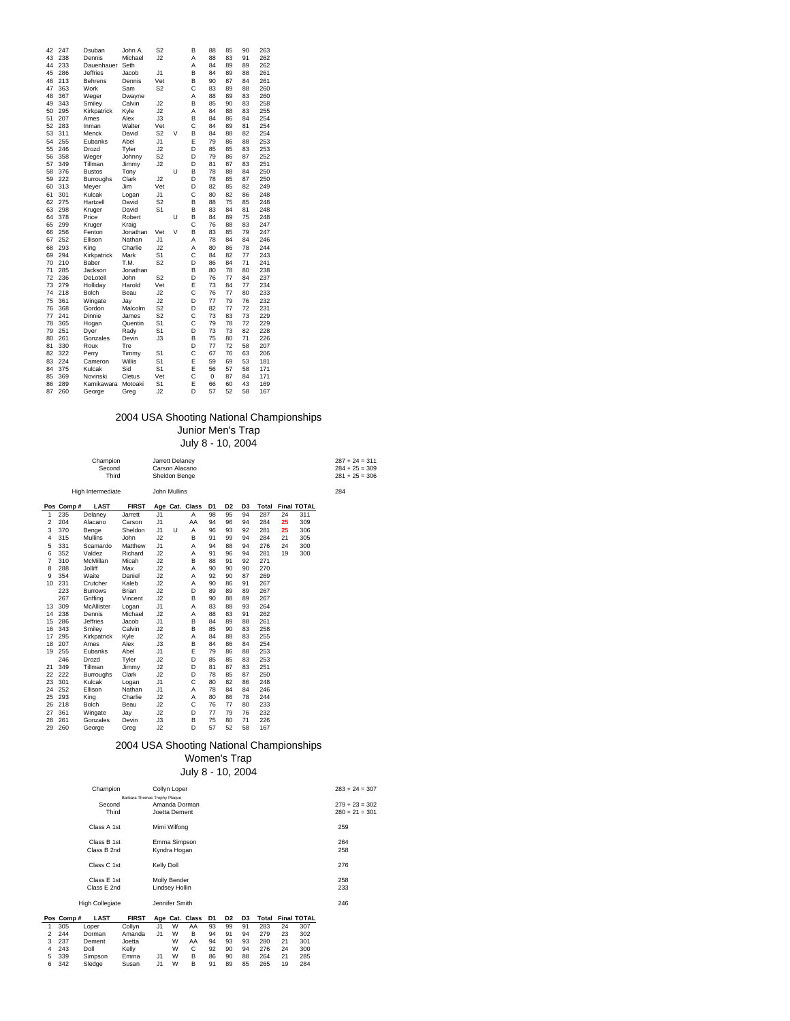| 42 | 247 | Dsuban          | John A.  | S <sub>2</sub> |   | B | 88 | 85 | 90 | 263 |
|----|-----|-----------------|----------|----------------|---|---|----|----|----|-----|
| 43 | 238 | Dennis          | Michael  | J2             |   | A | 88 | 83 | 91 | 262 |
| 44 | 233 | Dauenhauer      | Seth     |                |   | A | 84 | 89 | 89 | 262 |
| 45 | 286 | <b>Jeffries</b> | Jacob    | J <sub>1</sub> |   | B | 84 | 89 | 88 | 261 |
| 46 | 213 | <b>Behrens</b>  | Dennis   | Vet            |   | B | 90 | 87 | 84 | 261 |
| 47 | 363 | Work            | Sam      | S <sub>2</sub> |   | Ċ | 83 | 89 | 88 | 260 |
| 48 | 367 | Weger           | Dwayne   |                |   | A | 88 | 89 | 83 | 260 |
| 49 | 343 | Smilev          | Calvin   | J2             |   | B | 85 | 90 | 83 | 258 |
| 50 | 295 | Kirkpatrick     | Kyle     | J2             |   | A | 84 | 88 | 83 | 255 |
| 51 | 207 | Ames            | Alex     | J3             |   | B | 84 | 86 | 84 | 254 |
| 52 | 283 | Inman           | Walter   | Vet            |   | Ċ | 84 | 89 | 81 | 254 |
| 53 | 311 | Menck           | David    | S <sub>2</sub> | V | B | 84 | 88 | 82 | 254 |
| 54 | 255 | Eubanks         | Abel     | J <sub>1</sub> |   | E | 79 | 86 | 88 | 253 |
| 55 | 246 | Drozd           | Tyler    | J2             |   | D | 85 | 85 | 83 | 253 |
| 56 | 358 | Weger           | Johnny   | S <sub>2</sub> |   | D | 79 | 86 | 87 | 252 |
| 57 | 349 | Tillman         | Jimmy    | J2             |   | D | 81 | 87 | 83 | 251 |
| 58 | 376 | <b>Bustos</b>   | Tony     |                | U | B | 78 | 88 | 84 | 250 |
| 59 | 222 | Burroughs       | Clark    | J2             |   | D | 78 | 85 | 87 | 250 |
| 60 | 313 | Meyer           | Jim      | Vet            |   | D | 82 | 85 | 82 | 249 |
| 61 | 301 | Kulcak          | Logan    | J <sub>1</sub> |   | Ċ | 80 | 82 | 86 | 248 |
| 62 | 275 | Hartzell        | David    | S <sub>2</sub> |   | B | 88 | 75 | 85 | 248 |
| 63 | 298 | Kruger          | David    | S <sub>1</sub> |   | B | 83 | 84 | 81 | 248 |
| 64 | 378 | Price           | Robert   |                | U | B | 84 | 89 | 75 | 248 |
| 65 | 299 | Kruger          | Kraig    |                |   | Ċ | 76 | 88 | 83 | 247 |
| 66 | 256 | Fenton          | Jonathan | Vet            | V | B | 83 | 85 | 79 | 247 |
| 67 | 252 | Ellison         | Nathan   | J1             |   | A | 78 | 84 | 84 | 246 |
| 68 | 293 | Kina            | Charlie  | J2             |   | A | 80 | 86 | 78 | 244 |
| 69 | 294 | Kirkpatrick     | Mark     | S <sub>1</sub> |   | Ċ | 84 | 82 | 77 | 243 |
| 70 | 210 | Baber           | T.M.     | S <sub>2</sub> |   | D | 86 | 84 | 71 | 241 |
| 71 | 285 | Jackson         | Jonathan |                |   | B | 80 | 78 | 80 | 238 |
| 72 | 236 | DeLotell        | John     | S <sub>2</sub> |   | D | 76 | 77 | 84 | 237 |
| 73 | 279 | Holliday        | Harold   | Vet            |   | E | 73 | 84 | 77 | 234 |
| 74 | 218 | Bolch           | Beau     | J2             |   | Ċ | 76 | 77 | 80 | 233 |
| 75 | 361 | Wingate         | Jav      | J2             |   | D | 77 | 79 | 76 | 232 |
| 76 | 368 | Gordon          | Malcolm  | S <sub>2</sub> |   | D | 82 | 77 | 72 | 231 |
| 77 | 241 | Dinnie          | James    | S <sub>2</sub> |   | Ċ | 73 | 83 | 73 | 229 |
| 78 | 365 | Hogan           | Quentin  | S <sub>1</sub> |   | Ċ | 79 | 78 | 72 | 229 |
| 79 | 251 | Dyer            | Rady     | S <sub>1</sub> |   | D | 73 | 73 | 82 | 228 |
| 80 | 261 | Gonzales        | Devin    | J3             |   | B | 75 | 80 | 71 | 226 |
| 81 | 330 | Roux            | Tre      |                |   | D | 77 | 72 | 58 | 207 |
| 82 | 322 | Perry           | Timmy    | S <sub>1</sub> |   | Ċ | 67 | 76 | 63 | 206 |
| 83 | 224 | Cameron         | Willis   | S <sub>1</sub> |   | E | 59 | 69 | 53 | 181 |
| 84 | 375 | Kulcak          | Sid      | S1             |   | E | 56 | 57 | 58 | 171 |
| 85 | 369 | Novinski        | Cletus   | Vet            |   | Ċ | 0  | 87 | 84 | 171 |
| 86 | 289 | Kamikawara      | Motoaki  | S <sub>1</sub> |   | E | 66 | 60 | 43 | 169 |
| 87 | 260 | George          | Greg     | J2             |   | D | 57 | 52 | 58 | 167 |
|    |     |                 |          |                |   |   |    |    |    |     |

### 2004 USA Shooting National Championships Junior Men's Trap

July 8 - 10, 2004

|                |           | Champion<br>Second<br>Third |              | Jarrett Delaney<br>Carson Alacano<br>Sheldon Benge |   |                |                |                |                |       |    |                    | $287 + 24 = 311$<br>$284 + 25 = 309$<br>$281 + 25 = 306$ |  |
|----------------|-----------|-----------------------------|--------------|----------------------------------------------------|---|----------------|----------------|----------------|----------------|-------|----|--------------------|----------------------------------------------------------|--|
|                |           | High Intermediate           |              | John Mullins                                       |   |                |                |                |                |       |    |                    | 284                                                      |  |
|                | Pos Comp# | <b>LAST</b>                 | <b>FIRST</b> |                                                    |   | Age Cat. Class | D <sub>1</sub> | D <sub>2</sub> | D <sub>3</sub> | Total |    | <b>Final TOTAL</b> |                                                          |  |
| 1              | 235       | Delaney                     | Jarrett      | J1                                                 |   | A              | 98             | 95             | 94             | 287   | 24 | 311                |                                                          |  |
| $\overline{c}$ | 204       | Alacano                     | Carson       | J1                                                 |   | AA             | 94             | 96             | 94             | 284   | 25 | 309                |                                                          |  |
| 3              | 370       | Benge                       | Sheldon      | J1                                                 | U | A              | 96             | 93             | 92             | 281   | 25 | 306                |                                                          |  |
| 4              | 315       | Mullins                     | John         | J2                                                 |   | B              | 91             | 99             | 94             | 284   | 21 | 305                |                                                          |  |
| 5              | 331       | Scamardo                    | Matthew      | J1                                                 |   | A              | 94             | 88             | 94             | 276   | 24 | 300                |                                                          |  |
| 6              | 352       | Valdez                      | Richard      | J2                                                 |   | A              | 91             | 96             | 94             | 281   | 19 | 300                |                                                          |  |
| $\overline{7}$ | 310       | McMillan                    | Micah        | J2                                                 |   | B              | 88             | 91             | 92             | 271   |    |                    |                                                          |  |
| 8              | 288       | <b>Jolliff</b>              | Max          | J2                                                 |   | A              | 90             | 90             | 90             | 270   |    |                    |                                                          |  |
| 9              | 354       | Waite                       | Daniel       | J2                                                 |   | A              | 92             | 90             | 87             | 269   |    |                    |                                                          |  |
| 10             | 231       | Crutcher                    | Kaleb        | J2                                                 |   | A              | 90             | 86             | 91             | 267   |    |                    |                                                          |  |
|                | 223       | <b>Burrows</b>              | <b>Brian</b> | J2                                                 |   | D              | 89             | 89             | 89             | 267   |    |                    |                                                          |  |
|                | 267       | Griffing                    | Vincent      | J2                                                 |   | B              | 90             | 88             | 89             | 267   |    |                    |                                                          |  |
| 13             | 309       | McAllister                  | Logan        | J1                                                 |   | A              | 83             | 88             | 93             | 264   |    |                    |                                                          |  |
| 14             | 238       | Dennis                      | Michael      | J2                                                 |   | A              | 88             | 83             | 91             | 262   |    |                    |                                                          |  |
| 15             | 286       | <b>Jeffries</b>             | Jacob        | J1                                                 |   | B              | 84             | 89             | 88             | 261   |    |                    |                                                          |  |
| 16             | 343       | Smiley                      | Calvin       | J2                                                 |   | B              | 85             | 90             | 83             | 258   |    |                    |                                                          |  |
| 17             | 295       | Kirkpatrick                 | Kyle         | J2                                                 |   | A              | 84             | 88             | 83             | 255   |    |                    |                                                          |  |
| 18             | 207       | Ames                        | Alex         | J3                                                 |   | B              | 84             | 86             | 84             | 254   |    |                    |                                                          |  |
|                | 19 255    | Eubanks                     | Abel         | J1                                                 |   | E              | 79             | 86             | 88             | 253   |    |                    |                                                          |  |
|                | 246       | Drozd                       | Tyler        | J2                                                 |   | D              | 85             | 85             | 83             | 253   |    |                    |                                                          |  |
| 21             | 349       | Tillman                     | Jimmy        | J2                                                 |   | D              | 81             | 87             | 83             | 251   |    |                    |                                                          |  |
| 22             | 222       | <b>Burroughs</b>            | Clark        | J2                                                 |   | D              | 78             | 85             | 87             | 250   |    |                    |                                                          |  |
| 23             | 301       | Kulcak                      | Logan        | J1                                                 |   | $\mathsf{C}$   | 80             | 82             | 86             | 248   |    |                    |                                                          |  |
| 24             | 252       | Ellison                     | Nathan       | J1                                                 |   | A              | 78             | 84             | 84             | 246   |    |                    |                                                          |  |
| 25             | 293       | King                        | Charlie      | J2                                                 |   | A              | 80             | 86             | 78             | 244   |    |                    |                                                          |  |
| 26             | 218       | Bolch                       | Beau         | J2                                                 |   | C              | 76             | 77             | 80             | 233   |    |                    |                                                          |  |
| 27             | 361       | Wingate                     | Jay          | J2                                                 |   | D              | 77             | 79             | 76             | 232   |    |                    |                                                          |  |
| 28             | 261       | Gonzales                    | Devin        | J3                                                 |   | B              | 75             | 80             | 71             | 226   |    |                    |                                                          |  |
| 29             | 260       | George                      | Greg         | J2                                                 |   | D              | 57             | 52             | 58             | 167   |    |                    |                                                          |  |
|                |           |                             |              |                                                    |   |                |                |                |                |       |    |                    |                                                          |  |

#### 2004 USA Shooting National Championships Women's Trap

July 8 - 10, 2004

|   |           | Champion               |                              |                | Collyn Loper   |                |    |                |                |       |    |                    | $283 + 24 = 307$ |  |
|---|-----------|------------------------|------------------------------|----------------|----------------|----------------|----|----------------|----------------|-------|----|--------------------|------------------|--|
|   |           |                        | Barbara Thomas Trophy Plague |                |                |                |    |                |                |       |    |                    |                  |  |
|   |           | Second                 |                              |                |                | Amanda Dorman  |    |                |                |       |    |                    | $279 + 23 = 302$ |  |
|   |           | Third                  |                              |                | Joetta Dement  |                |    |                |                |       |    |                    | $280 + 21 = 301$ |  |
|   |           |                        |                              |                |                |                |    |                |                |       |    |                    |                  |  |
|   |           | Class A 1st            |                              |                | Mimi Wilfong   |                |    |                |                |       |    |                    | 259              |  |
|   |           | Class B 1st            |                              |                | Emma Simpson   |                |    |                |                |       |    |                    | 264              |  |
|   |           | Class B 2nd            |                              |                | Kyndra Hogan   |                |    |                |                |       |    |                    | 258              |  |
|   |           |                        |                              |                |                |                |    |                |                |       |    |                    |                  |  |
|   |           | Class C 1st            |                              | Kelly Doll     |                |                |    |                |                |       |    |                    | 276              |  |
|   |           | Class E 1st            |                              |                |                |                |    |                |                |       |    |                    | 258              |  |
|   |           |                        |                              |                | Molly Bender   |                |    |                |                |       |    |                    |                  |  |
|   |           | Class E 2nd            |                              |                | Lindsey Hollin |                |    |                |                |       |    |                    | 233              |  |
|   |           | <b>High Collegiate</b> |                              |                | Jennifer Smith |                |    |                |                |       |    |                    | 246              |  |
|   |           |                        |                              |                |                |                |    |                |                |       |    |                    |                  |  |
|   | Pos Comp# | <b>LAST</b>            | <b>FIRST</b>                 |                |                | Age Cat. Class | D1 | D <sub>2</sub> | D <sub>3</sub> | Total |    | <b>Final TOTAL</b> |                  |  |
| 1 | 305       | Loper                  | Collyn                       | J1             | W              | AA             | 93 | 99             | 91             | 283   | 24 | 307                |                  |  |
| 2 | 244       | Dorman                 | Amanda                       | J <sub>1</sub> | W              | в              | 94 | 91             | 94             | 279   | 23 | 302                |                  |  |
| 3 | 237       | Dement                 | Joetta                       |                | W              | AA             | 94 | 93             | 93             | 280   | 21 | 301                |                  |  |
| 4 | 243       | Doll                   | Kelly                        |                | W              | C              | 92 | 90             | 94             | 276   | 24 | 300                |                  |  |
| 5 | 339       | Simpson                | Emma                         | J <sub>1</sub> | W              | в              | 86 | 90             | 88             | 264   | 21 | 285                |                  |  |
| 6 | 342       | Sledge                 | Susan                        | J <sub>1</sub> | W              | B              | 91 | 89             | 85             | 265   | 19 | 284                |                  |  |
|   |           |                        |                              |                |                |                |    |                |                |       |    |                    |                  |  |